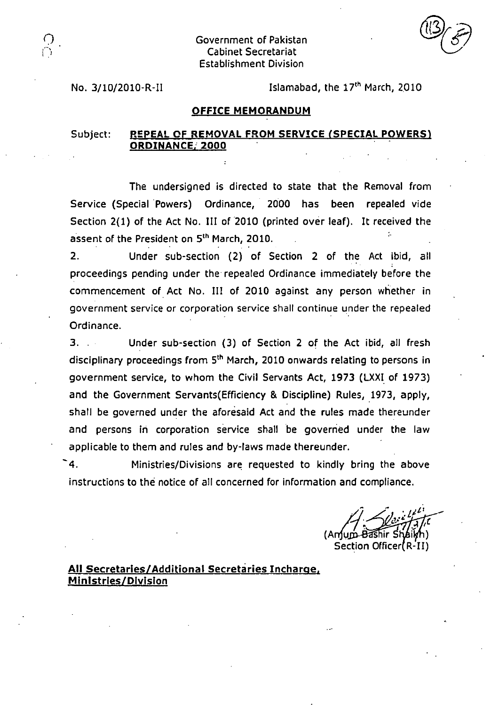Government of Pakistan Cabinet Secretariat Establishment Division

No.  $3/10/2010$ -R-II Islamabad, the  $17<sup>th</sup>$  March, 2010

#### **OFFICE MEMORANDUM**

## Subject: **REPEAL OF REMOVAL FROM SERVICE (SPECIAL POWERS) ORDINANCE, 2000**

The undersigned is directed to state that the Removal from Service (Special Powers) Ordinance, 2000 has been repealed vide Section 2(1) of the Act No. III of 2010 (printed over leaf). It received the assent of the President on 5<sup>th</sup> March, 2010.

Under sub-section (2) of Section 2 of the Act ibid, all  $2.$ proceedings pending under the repealed Ordinance immediately before the commencement of Act No. III of 2010 against any person whether in government service or corporation service shall continue under the repealed Ordinance.

 $3.11$ Under sub-section (3) of Section 2 of the Act ibid, all fresh disciplinary proceedings from 5<sup>th</sup> March, 2010 onwards relating to persons in government service, to whom the Civil Servants Act, 1973 (LXXI of 1973) and the Government Servants(Efficiency & Discipline) Rules, 1973, apply, shall be governed under the aforesaid Act and the rules made thereunder and persons in corporation service shall be governed under the law applicable to them and rules and by-laws made thereunder.

-4. Ministries/Divisions are requested to kindly bring the above instructions to the notice of all concerned for information and compliance.

ir (Anjum-<del>Bash</del>ir i Section Officer (R-II)

### **All Secretaries/Additional Secretaries Incharee, Ministries/Division**